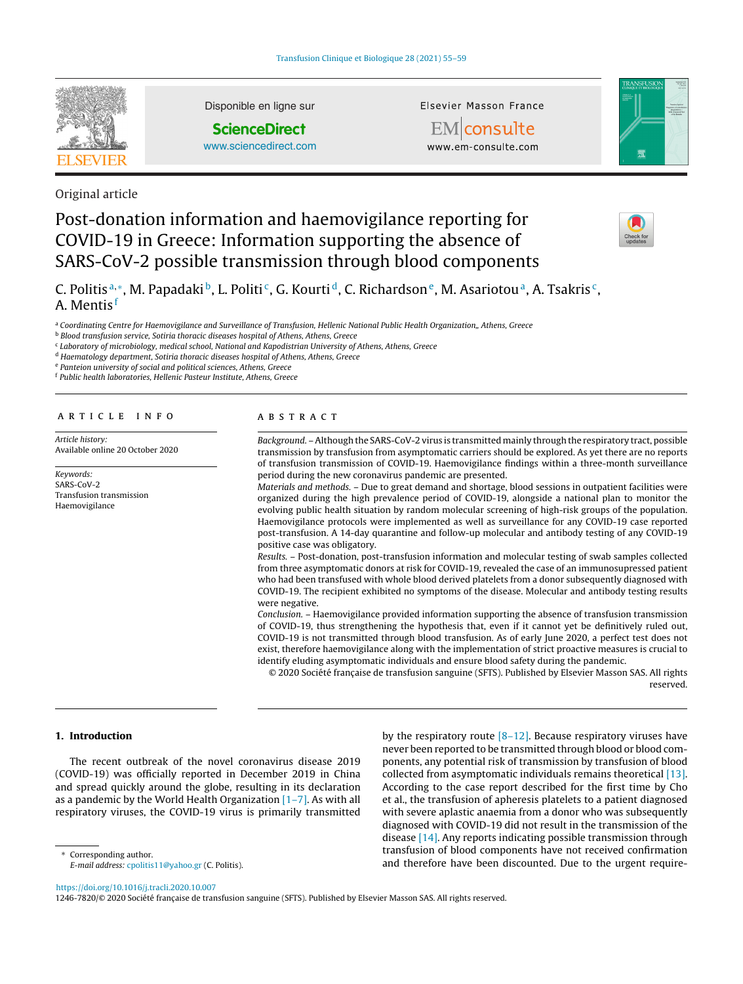

Disponible en ligne sur

**ScienceDirect**

[www.sciencedirect.com](http://www.sciencedirect.com/science/journal/12467820)

Elsevier Masson France

EMconsulte www.em-consulte.com



Original article

# Post-donation information and haemovigilance reporting for COVID-19 in Greece: Information supporting the absence of SARS-CoV-2 possible transmission through blood components



C. Politis<sup>a,∗</sup>, M. Papadaki<sup>b</sup>, L. Politi<sup>c</sup>, G. Kourti<sup>d</sup>, C. Richardson<sup>e</sup>, M. Asariotou<sup>a</sup>, A. Tsakris<sup>c</sup>, A. Mentis <sup>f</sup>

a Coordinating Centre for Haemovigilance and Surveillance of Transfusion, Hellenic National Public Health Organization,, Athens, Greece

**b** Blood transfusion service, Sotiria thoracic diseases hospital of Athens, Athens, Greece

<sup>c</sup> Laboratory of microbiology, medical school, National and Kapodistrian University of Athens, Athens, Greece

<sup>d</sup> Haematology department, Sotiria thoracic diseases hospital of Athens, Athens, Greece

<sup>e</sup> Panteion university of social and political sciences, Athens, Greece

<sup>f</sup> Public health laboratories, Hellenic Pasteur Institute, Athens, Greece

#### ARTICLE INFO

Article history: Available online 20 October 2020

Keywords: SARS-CoV-2 Transfusion transmission Haemovigilance

#### A B S T R A C T

Background. –Although the SARS-CoV-2 virus is transmittedmainly through the respiratory tract, possible transmission by transfusion from asymptomatic carriers should be explored. As yet there are no reports of transfusion transmission of COVID-19. Haemovigilance findings within a three-month surveillance period during the new coronavirus pandemic are presented.

Materials and methods. – Due to great demand and shortage, blood sessions in outpatient facilities were organized during the high prevalence period of COVID-19, alongside a national plan to monitor the evolving public health situation by random molecular screening of high-risk groups of the population. Haemovigilance protocols were implemented as well as surveillance for any COVID-19 case reported post-transfusion. A 14-day quarantine and follow-up molecular and antibody testing of any COVID-19 positive case was obligatory.

Results. – Post-donation, post-transfusion information and molecular testing of swab samples collected from three asymptomatic donors at risk for COVID-19, revealed the case of an immunosupressed patient who had been transfused with whole blood derived platelets from a donor subsequently diagnosed with COVID-19. The recipient exhibited no symptoms of the disease. Molecular and antibody testing results were negative.

Conclusion. – Haemovigilance provided information supporting the absence of transfusion transmission of COVID-19, thus strengthening the hypothesis that, even if it cannot yet be definitively ruled out, COVID-19 is not transmitted through blood transfusion. As of early June 2020, a perfect test does not exist, therefore haemovigilance along with the implementation of strict proactive measures is crucial to identify eluding asymptomatic individuals and ensure blood safety during the pandemic.

© 2020 Société française de transfusion sanguine (SFTS). Published by Elsevier Masson SAS. All rights reserved.

# **1. Introduction**

The recent outbreak of the novel coronavirus disease 2019 (COVID-19) was officially reported in December 2019 in China and spread quickly around the globe, resulting in its declaration as a pandemic by the World Health Organization  $[1-7]$ . As with all respiratory viruses, the COVID-19 virus is primarily transmitted

Corresponding author. E-mail address: [cpolitis11@yahoo.gr](mailto:cpolitis11@yahoo.gr) (C. Politis). by the respiratory route  $[8-12]$ . Because respiratory viruses have never been reported to be transmitted through blood or blood components, any potential risk of transmission by transfusion of blood collected from asymptomatic individuals remains theoretical [\[13\].](#page-3-0) According to the case report described for the first time by Cho et al., the transfusion of apheresis platelets to a patient diagnosed with severe aplastic anaemia from a donor who was subsequently diagnosed with COVID-19 did not result in the transmission of the disease [\[14\].](#page-3-0) Any reports indicating possible transmission through transfusion of blood components have not received confirmation and therefore have been discounted. Due to the urgent require-

<https://doi.org/10.1016/j.tracli.2020.10.007>

1246-7820/© 2020 Société française de transfusion sanguine (SFTS). Published by Elsevier Masson SAS. All rights reserved.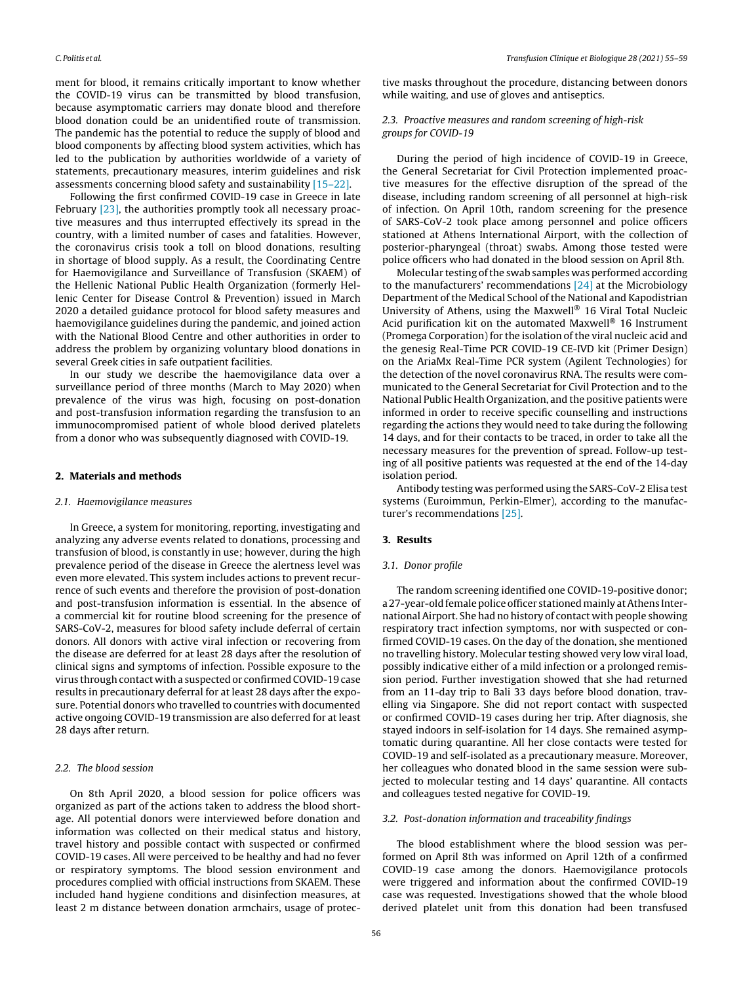ment for blood, it remains critically important to know whether the COVID-19 virus can be transmitted by blood transfusion, because asymptomatic carriers may donate blood and therefore blood donation could be an unidentified route of transmission. The pandemic has the potential to reduce the supply of blood and blood components by affecting blood system activities, which has led to the publication by authorities worldwide of a variety of statements, precautionary measures, interim guidelines and risk assessments concerning blood safety and sustainability [\[15–22\].](#page-3-0)

Following the first confirmed COVID-19 case in Greece in late February [\[23\],](#page-4-0) the authorities promptly took all necessary proactive measures and thus interrupted effectively its spread in the country, with a limited number of cases and fatalities. However, the coronavirus crisis took a toll on blood donations, resulting in shortage of blood supply. As a result, the Coordinating Centre for Haemovigilance and Surveillance of Transfusion (SKAEM) of the Hellenic National Public Health Organization (formerly Hellenic Center for Disease Control & Prevention) issued in March 2020 a detailed guidance protocol for blood safety measures and haemovigilance guidelines during the pandemic, and joined action with the National Blood Centre and other authorities in order to address the problem by organizing voluntary blood donations in several Greek cities in safe outpatient facilities.

In our study we describe the haemovigilance data over a surveillance period of three months (March to May 2020) when prevalence of the virus was high, focusing on post-donation and post-transfusion information regarding the transfusion to an immunocompromised patient of whole blood derived platelets from a donor who was subsequently diagnosed with COVID-19.

#### **2. Materials and methods**

#### 2.1. Haemovigilance measures

In Greece, a system for monitoring, reporting, investigating and analyzing any adverse events related to donations, processing and transfusion of blood, is constantly in use; however, during the high prevalence period of the disease in Greece the alertness level was even more elevated. This system includes actions to prevent recurrence of such events and therefore the provision of post-donation and post-transfusion information is essential. In the absence of a commercial kit for routine blood screening for the presence of SARS-CoV-2, measures for blood safety include deferral of certain donors. All donors with active viral infection or recovering from the disease are deferred for at least 28 days after the resolution of clinical signs and symptoms of infection. Possible exposure to the virus through contact with a suspected or confirmed COVID-19 case results in precautionary deferral for at least 28 days after the exposure. Potential donors who travelled to countries with documented active ongoing COVID-19 transmission are also deferred for at least 28 days after return.

#### 2.2. The blood session

On 8th April 2020, a blood session for police officers was organized as part of the actions taken to address the blood shortage. All potential donors were interviewed before donation and information was collected on their medical status and history, travel history and possible contact with suspected or confirmed COVID-19 cases. All were perceived to be healthy and had no fever or respiratory symptoms. The blood session environment and procedures complied with official instructions from SKAEM. These included hand hygiene conditions and disinfection measures, at least 2 m distance between donation armchairs, usage of protective masks throughout the procedure, distancing between donors while waiting, and use of gloves and antiseptics.

## 2.3. Proactive measures and random screening of high-risk groups for COVID-19

During the period of high incidence of COVID-19 in Greece, the General Secretariat for Civil Protection implemented proactive measures for the effective disruption of the spread of the disease, including random screening of all personnel at high-risk of infection. On April 10th, random screening for the presence of SARS-CoV-2 took place among personnel and police officers stationed at Athens International Airport, with the collection of posterior-pharyngeal (throat) swabs. Among those tested were police officers who had donated in the blood session on April 8th.

Molecular testing of the swab samples was performed according to the manufacturers' recommendations [\[24\]](#page-4-0) at the Microbiology Department of the Medical School of the National and Kapodistrian University of Athens, using the Maxwell® 16 Viral Total Nucleic Acid purification kit on the automated Maxwell® 16 Instrument (Promega Corporation) for the isolation of the viral nucleic acid and the genesig Real-Time PCR COVID-19 CE-IVD kit (Primer Design) on the AriaMx Real-Time PCR system (Agilent Technologies) for the detection of the novel coronavirus RNA. The results were communicated to the General Secretariat for Civil Protection and to the National Public Health Organization, and the positive patients were informed in order to receive specific counselling and instructions regarding the actions they would need to take during the following 14 days, and for their contacts to be traced, in order to take all the necessary measures for the prevention of spread. Follow-up testing of all positive patients was requested at the end of the 14-day isolation period.

Antibody testing was performed using the SARS-CoV-2 Elisa test systems (Euroimmun, Perkin-Elmer), according to the manufacturer's recommendations [\[25\].](#page-4-0)

### **3. Results**

#### 3.1. Donor profile

The random screening identified one COVID-19-positive donor; a 27-year-old female police officer stationed mainly at Athens International Airport. She had no history of contact with people showing respiratory tract infection symptoms, nor with suspected or confirmed COVID-19 cases. On the day of the donation, she mentioned no travelling history. Molecular testing showed very low viral load, possibly indicative either of a mild infection or a prolonged remission period. Further investigation showed that she had returned from an 11-day trip to Bali 33 days before blood donation, travelling via Singapore. She did not report contact with suspected or confirmed COVID-19 cases during her trip. After diagnosis, she stayed indoors in self-isolation for 14 days. She remained asymptomatic during quarantine. All her close contacts were tested for COVID-19 and self-isolated as a precautionary measure. Moreover, her colleagues who donated blood in the same session were subjected to molecular testing and 14 days' quarantine. All contacts and colleagues tested negative for COVID-19.

#### 3.2. Post-donation information and traceability findings

The blood establishment where the blood session was performed on April 8th was informed on April 12th of a confirmed COVID-19 case among the donors. Haemovigilance protocols were triggered and information about the confirmed COVID-19 case was requested. Investigations showed that the whole blood derived platelet unit from this donation had been transfused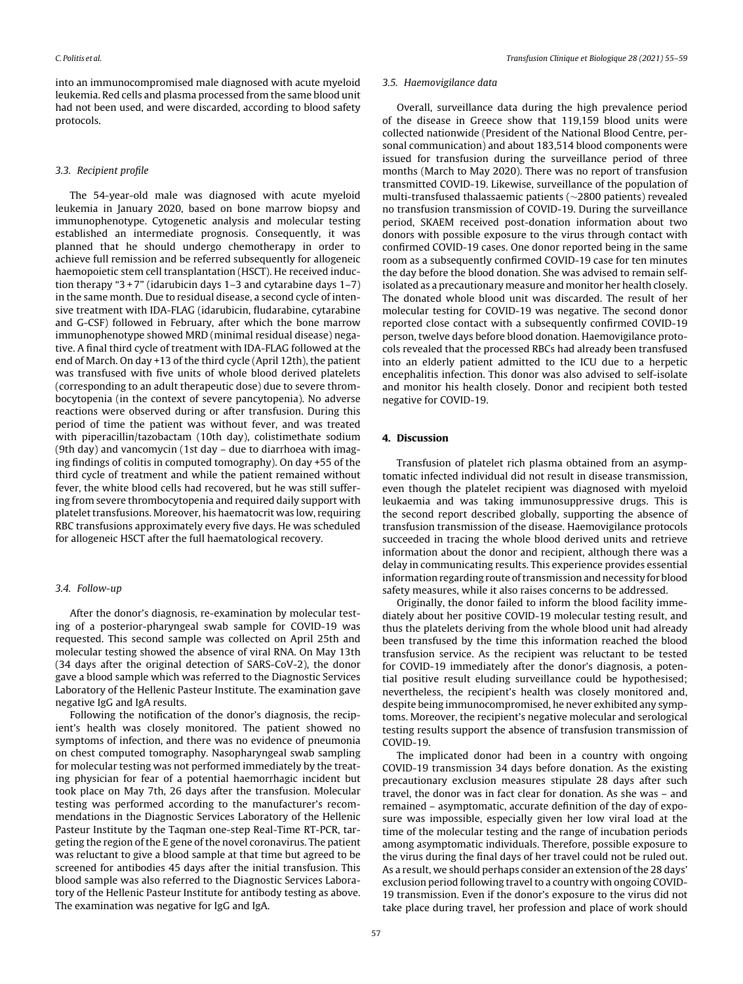into an immunocompromised male diagnosed with acute myeloid leukemia. Red cells and plasma processed from the same blood unit had not been used, and were discarded, according to blood safety protocols.

## 3.3. Recipient profile

The 54-year-old male was diagnosed with acute myeloid leukemia in January 2020, based on bone marrow biopsy and immunophenotype. Cytogenetic analysis and molecular testing established an intermediate prognosis. Consequently, it was planned that he should undergo chemotherapy in order to achieve full remission and be referred subsequently for allogeneic haemopoietic stem cell transplantation (HSCT). He received induction therapy "3 + 7" (idarubicin days  $1-3$  and cytarabine days  $1-7$ ) in the same month. Due to residual disease, a second cycle of intensive treatment with IDA-FLAG (idarubicin, fludarabine, cytarabine and G-CSF) followed in February, after which the bone marrow immunophenotype showed MRD (minimal residual disease) negative. A final third cycle of treatment with IDA-FLAG followed at the end of March. On day +13 of the third cycle (April 12th), the patient was transfused with five units of whole blood derived platelets (corresponding to an adult therapeutic dose) due to severe thrombocytopenia (in the context of severe pancytopenia). No adverse reactions were observed during or after transfusion. During this period of time the patient was without fever, and was treated with piperacillin/tazobactam (10th day), colistimethate sodium (9th day) and vancomycin (1st day – due to diarrhoea with imaging findings of colitis in computed tomography). On day +55 of the third cycle of treatment and while the patient remained without fever, the white blood cells had recovered, but he was still suffering from severe thrombocytopenia and required daily support with platelet transfusions. Moreover, his haematocrit was low, requiring RBC transfusions approximately every five days. He was scheduled for allogeneic HSCT after the full haematological recovery.

## 3.4. Follow-up

After the donor's diagnosis, re-examination by molecular testing of a posterior-pharyngeal swab sample for COVID-19 was requested. This second sample was collected on April 25th and molecular testing showed the absence of viral RNA. On May 13th (34 days after the original detection of SARS-CoV-2), the donor gave a blood sample which was referred to the Diagnostic Services Laboratory of the Hellenic Pasteur Institute. The examination gave negative IgG and IgA results.

Following the notification of the donor's diagnosis, the recipient's health was closely monitored. The patient showed no symptoms of infection, and there was no evidence of pneumonia on chest computed tomography. Nasopharyngeal swab sampling for molecular testing was not performed immediately by the treating physician for fear of a potential haemorrhagic incident but took place on May 7th, 26 days after the transfusion. Molecular testing was performed according to the manufacturer's recommendations in the Diagnostic Services Laboratory of the Hellenic Pasteur Institute by the Taqman one-step Real-Time RT-PCR, targeting the region of the E gene of the novel coronavirus. The patient was reluctant to give a blood sample at that time but agreed to be screened for antibodies 45 days after the initial transfusion. This blood sample was also referred to the Diagnostic Services Laboratory of the Hellenic Pasteur Institute for antibody testing as above. The examination was negative for IgG and IgA.

#### 3.5. Haemovigilance data

Overall, surveillance data during the high prevalence period of the disease in Greece show that 119,159 blood units were collected nationwide (President of the National Blood Centre, personal communication) and about 183,514 blood components were issued for transfusion during the surveillance period of three months (March to May 2020). There was no report of transfusion transmitted COVID-19. Likewise, surveillance of the population of multi-transfused thalassaemic patients (∼2800 patients) revealed no transfusion transmission of COVID-19. During the surveillance period, SKAEM received post-donation information about two donors with possible exposure to the virus through contact with confirmed COVID-19 cases. One donor reported being in the same room as a subsequently confirmed COVID-19 case for ten minutes the day before the blood donation. She was advised to remain selfisolated as a precautionary measure and monitor her health closely. The donated whole blood unit was discarded. The result of her molecular testing for COVID-19 was negative. The second donor reported close contact with a subsequently confirmed COVID-19 person, twelve days before blood donation. Haemovigilance protocols revealed that the processed RBCs had already been transfused into an elderly patient admitted to the ICU due to a herpetic encephalitis infection. This donor was also advised to self-isolate and monitor his health closely. Donor and recipient both tested negative for COVID-19.

## **4. Discussion**

Transfusion of platelet rich plasma obtained from an asymptomatic infected individual did not result in disease transmission, even though the platelet recipient was diagnosed with myeloid leukaemia and was taking immunosuppressive drugs. This is the second report described globally, supporting the absence of transfusion transmission of the disease. Haemovigilance protocols succeeded in tracing the whole blood derived units and retrieve information about the donor and recipient, although there was a delay in communicating results. This experience provides essential information regarding route of transmission and necessity for blood safety measures, while it also raises concerns to be addressed.

Originally, the donor failed to inform the blood facility immediately about her positive COVID-19 molecular testing result, and thus the platelets deriving from the whole blood unit had already been transfused by the time this information reached the blood transfusion service. As the recipient was reluctant to be tested for COVID-19 immediately after the donor's diagnosis, a potential positive result eluding surveillance could be hypothesised; nevertheless, the recipient's health was closely monitored and, despite being immunocompromised, he never exhibited any symptoms. Moreover, the recipient's negative molecular and serological testing results support the absence of transfusion transmission of COVID-19.

The implicated donor had been in a country with ongoing COVID-19 transmission 34 days before donation. As the existing precautionary exclusion measures stipulate 28 days after such travel, the donor was in fact clear for donation. As she was – and remained – asymptomatic, accurate definition of the day of exposure was impossible, especially given her low viral load at the time of the molecular testing and the range of incubation periods among asymptomatic individuals. Therefore, possible exposure to the virus during the final days of her travel could not be ruled out. As a result, we should perhaps consider an extension of the 28 days' exclusion period following travel to a country with ongoing COVID-19 transmission. Even if the donor's exposure to the virus did not take place during travel, her profession and place of work should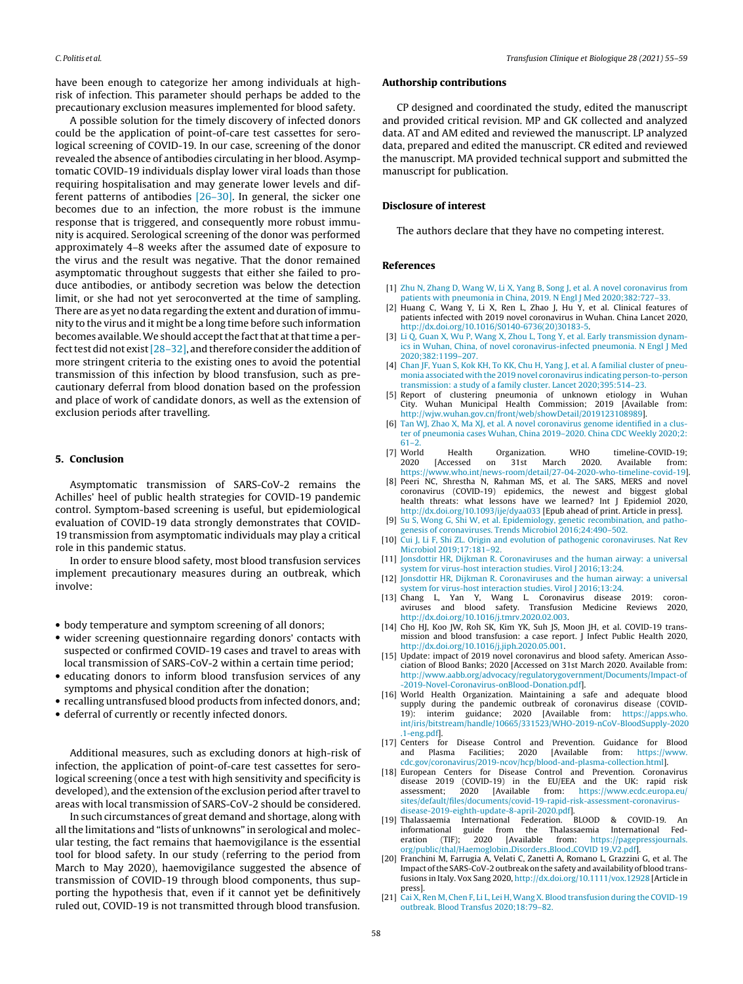<span id="page-3-0"></span>have been enough to categorize her among individuals at highrisk of infection. This parameter should perhaps be added to the precautionary exclusion measures implemented for blood safety.

A possible solution for the timely discovery of infected donors could be the application of point-of-care test cassettes for serological screening of COVID-19. In our case, screening of the donor revealed the absence of antibodies circulating in her blood. Asymptomatic COVID-19 individuals display lower viral loads than those requiring hospitalisation and may generate lower levels and different patterns of antibodies [\[26–30\].](#page-4-0) In general, the sicker one becomes due to an infection, the more robust is the immune response that is triggered, and consequently more robust immunity is acquired. Serological screening of the donor was performed approximately 4–8 weeks after the assumed date of exposure to the virus and the result was negative. That the donor remained asymptomatic throughout suggests that either she failed to produce antibodies, or antibody secretion was below the detection limit, or she had not yet seroconverted at the time of sampling. There are as yet no data regarding the extent and duration of immunity to the virus and it might be a long time before such information becomes available. We should accept the fact that at that time a perfect test did not exist  $[28-32]$ , and therefore consider the addition of more stringent criteria to the existing ones to avoid the potential transmission of this infection by blood transfusion, such as precautionary deferral from blood donation based on the profession and place of work of candidate donors, as well as the extension of exclusion periods after travelling.

## **5. Conclusion**

Asymptomatic transmission of SARS-CoV-2 remains the Achilles' heel of public health strategies for COVID-19 pandemic control. Symptom-based screening is useful, but epidemiological evaluation of COVID-19 data strongly demonstrates that COVID-19 transmission from asymptomatic individuals may play a critical role in this pandemic status.

In order to ensure blood safety, most blood transfusion services implement precautionary measures during an outbreak, which involve:

- body temperature and symptom screening of all donors;
- wider screening questionnaire regarding donors' contacts with suspected or confirmed COVID-19 cases and travel to areas with local transmission of SARS-CoV-2 within a certain time period;
- educating donors to inform blood transfusion services of any symptoms and physical condition after the donation;
- recalling untransfused blood products from infected donors, and;
- deferral of currently or recently infected donors.

Additional measures, such as excluding donors at high-risk of infection, the application of point-of-care test cassettes for serological screening (once a test with high sensitivity and specificity is developed), and the extension of the exclusion period after travel to areas with local transmission of SARS-CoV-2 should be considered.

In such circumstances of great demand and shortage, along with all the limitations and "lists of unknowns" in serological and molecular testing, the fact remains that haemovigilance is the essential tool for blood safety. In our study (referring to the period from March to May 2020), haemovigilance suggested the absence of transmission of COVID-19 through blood components, thus supporting the hypothesis that, even if it cannot yet be definitively ruled out, COVID-19 is not transmitted through blood transfusion.

#### **Authorship contributions**

CP designed and coordinated the study, edited the manuscript and provided critical revision. MP and GK collected and analyzed data. AT and AM edited and reviewed the manuscript. LP analyzed data, prepared and edited the manuscript. CR edited and reviewed the manuscript. MA provided technical support and submitted the manuscript for publication.

## **Disclosure of interest**

The authors declare that they have no competing interest.

#### **References**

- [1] [Zhu](http://refhub.elsevier.com/S1246-7820(20)30145-2/sbref0165) [N,](http://refhub.elsevier.com/S1246-7820(20)30145-2/sbref0165) [Zhang](http://refhub.elsevier.com/S1246-7820(20)30145-2/sbref0165) [D,](http://refhub.elsevier.com/S1246-7820(20)30145-2/sbref0165) [Wang](http://refhub.elsevier.com/S1246-7820(20)30145-2/sbref0165) [W,](http://refhub.elsevier.com/S1246-7820(20)30145-2/sbref0165) [Li](http://refhub.elsevier.com/S1246-7820(20)30145-2/sbref0165) [X,](http://refhub.elsevier.com/S1246-7820(20)30145-2/sbref0165) [Yang](http://refhub.elsevier.com/S1246-7820(20)30145-2/sbref0165) [B,](http://refhub.elsevier.com/S1246-7820(20)30145-2/sbref0165) [Song](http://refhub.elsevier.com/S1246-7820(20)30145-2/sbref0165) [J,](http://refhub.elsevier.com/S1246-7820(20)30145-2/sbref0165) [et](http://refhub.elsevier.com/S1246-7820(20)30145-2/sbref0165) [al.](http://refhub.elsevier.com/S1246-7820(20)30145-2/sbref0165) [A](http://refhub.elsevier.com/S1246-7820(20)30145-2/sbref0165) [novel](http://refhub.elsevier.com/S1246-7820(20)30145-2/sbref0165) [coronavirus](http://refhub.elsevier.com/S1246-7820(20)30145-2/sbref0165) [from](http://refhub.elsevier.com/S1246-7820(20)30145-2/sbref0165) [patients](http://refhub.elsevier.com/S1246-7820(20)30145-2/sbref0165) [with](http://refhub.elsevier.com/S1246-7820(20)30145-2/sbref0165) [pneumonia](http://refhub.elsevier.com/S1246-7820(20)30145-2/sbref0165) [in](http://refhub.elsevier.com/S1246-7820(20)30145-2/sbref0165) [China,](http://refhub.elsevier.com/S1246-7820(20)30145-2/sbref0165) [2019.](http://refhub.elsevier.com/S1246-7820(20)30145-2/sbref0165) [N](http://refhub.elsevier.com/S1246-7820(20)30145-2/sbref0165) [Engl](http://refhub.elsevier.com/S1246-7820(20)30145-2/sbref0165) [J](http://refhub.elsevier.com/S1246-7820(20)30145-2/sbref0165) [Med](http://refhub.elsevier.com/S1246-7820(20)30145-2/sbref0165) [2020;382:727](http://refhub.elsevier.com/S1246-7820(20)30145-2/sbref0165)–[33.](http://refhub.elsevier.com/S1246-7820(20)30145-2/sbref0165)
- [2] Huang C, Wang Y, Li X, Ren L, Zhao J, Hu Y, et al. Clinical features of patients infected with 2019 novel coronavirus in Wuhan. China Lancet 2020, [http://dx.doi.org/10.1016/S0140-6736\(20\)30183-5.](dx.doi.org/10.1016/S0140-6736(20)30183-5)
- [3] [Li](http://refhub.elsevier.com/S1246-7820(20)30145-2/sbref0175) [Q,](http://refhub.elsevier.com/S1246-7820(20)30145-2/sbref0175) [Guan](http://refhub.elsevier.com/S1246-7820(20)30145-2/sbref0175) [X,](http://refhub.elsevier.com/S1246-7820(20)30145-2/sbref0175) [Wu](http://refhub.elsevier.com/S1246-7820(20)30145-2/sbref0175) [P,](http://refhub.elsevier.com/S1246-7820(20)30145-2/sbref0175) [Wang](http://refhub.elsevier.com/S1246-7820(20)30145-2/sbref0175) [X,](http://refhub.elsevier.com/S1246-7820(20)30145-2/sbref0175) [Zhou](http://refhub.elsevier.com/S1246-7820(20)30145-2/sbref0175) [L,](http://refhub.elsevier.com/S1246-7820(20)30145-2/sbref0175) [Tong](http://refhub.elsevier.com/S1246-7820(20)30145-2/sbref0175) [Y,](http://refhub.elsevier.com/S1246-7820(20)30145-2/sbref0175) [et](http://refhub.elsevier.com/S1246-7820(20)30145-2/sbref0175) [al.](http://refhub.elsevier.com/S1246-7820(20)30145-2/sbref0175) [Early](http://refhub.elsevier.com/S1246-7820(20)30145-2/sbref0175) [transmission](http://refhub.elsevier.com/S1246-7820(20)30145-2/sbref0175) [dynam](http://refhub.elsevier.com/S1246-7820(20)30145-2/sbref0175)[ics](http://refhub.elsevier.com/S1246-7820(20)30145-2/sbref0175) [in](http://refhub.elsevier.com/S1246-7820(20)30145-2/sbref0175) [Wuhan,](http://refhub.elsevier.com/S1246-7820(20)30145-2/sbref0175) [China,](http://refhub.elsevier.com/S1246-7820(20)30145-2/sbref0175) [of](http://refhub.elsevier.com/S1246-7820(20)30145-2/sbref0175) [novel](http://refhub.elsevier.com/S1246-7820(20)30145-2/sbref0175) [coronavirus-infected](http://refhub.elsevier.com/S1246-7820(20)30145-2/sbref0175) [pneumonia.](http://refhub.elsevier.com/S1246-7820(20)30145-2/sbref0175) [N](http://refhub.elsevier.com/S1246-7820(20)30145-2/sbref0175) [Engl](http://refhub.elsevier.com/S1246-7820(20)30145-2/sbref0175) [J](http://refhub.elsevier.com/S1246-7820(20)30145-2/sbref0175) [Med](http://refhub.elsevier.com/S1246-7820(20)30145-2/sbref0175) [2020;382:1199](http://refhub.elsevier.com/S1246-7820(20)30145-2/sbref0175)–[207.](http://refhub.elsevier.com/S1246-7820(20)30145-2/sbref0175)
- [4] [Chan](http://refhub.elsevier.com/S1246-7820(20)30145-2/sbref0180) [JF,](http://refhub.elsevier.com/S1246-7820(20)30145-2/sbref0180) [Yuan](http://refhub.elsevier.com/S1246-7820(20)30145-2/sbref0180) [S,](http://refhub.elsevier.com/S1246-7820(20)30145-2/sbref0180) [Kok](http://refhub.elsevier.com/S1246-7820(20)30145-2/sbref0180) [KH,](http://refhub.elsevier.com/S1246-7820(20)30145-2/sbref0180) [To](http://refhub.elsevier.com/S1246-7820(20)30145-2/sbref0180) [KK,](http://refhub.elsevier.com/S1246-7820(20)30145-2/sbref0180) [Chu](http://refhub.elsevier.com/S1246-7820(20)30145-2/sbref0180) [H,](http://refhub.elsevier.com/S1246-7820(20)30145-2/sbref0180) [Yang](http://refhub.elsevier.com/S1246-7820(20)30145-2/sbref0180) [J,](http://refhub.elsevier.com/S1246-7820(20)30145-2/sbref0180) [et](http://refhub.elsevier.com/S1246-7820(20)30145-2/sbref0180) [al.](http://refhub.elsevier.com/S1246-7820(20)30145-2/sbref0180) [A](http://refhub.elsevier.com/S1246-7820(20)30145-2/sbref0180) [familial](http://refhub.elsevier.com/S1246-7820(20)30145-2/sbref0180) [cluster](http://refhub.elsevier.com/S1246-7820(20)30145-2/sbref0180) [of](http://refhub.elsevier.com/S1246-7820(20)30145-2/sbref0180) [pneu](http://refhub.elsevier.com/S1246-7820(20)30145-2/sbref0180)[monia](http://refhub.elsevier.com/S1246-7820(20)30145-2/sbref0180) [associated](http://refhub.elsevier.com/S1246-7820(20)30145-2/sbref0180) [with](http://refhub.elsevier.com/S1246-7820(20)30145-2/sbref0180) [the](http://refhub.elsevier.com/S1246-7820(20)30145-2/sbref0180) [2019](http://refhub.elsevier.com/S1246-7820(20)30145-2/sbref0180) [novel](http://refhub.elsevier.com/S1246-7820(20)30145-2/sbref0180) [coronavirus](http://refhub.elsevier.com/S1246-7820(20)30145-2/sbref0180) [indicating](http://refhub.elsevier.com/S1246-7820(20)30145-2/sbref0180) [person-to-person](http://refhub.elsevier.com/S1246-7820(20)30145-2/sbref0180) [transmission:](http://refhub.elsevier.com/S1246-7820(20)30145-2/sbref0180) [a](http://refhub.elsevier.com/S1246-7820(20)30145-2/sbref0180) [study](http://refhub.elsevier.com/S1246-7820(20)30145-2/sbref0180) [of](http://refhub.elsevier.com/S1246-7820(20)30145-2/sbref0180) [a](http://refhub.elsevier.com/S1246-7820(20)30145-2/sbref0180) [family](http://refhub.elsevier.com/S1246-7820(20)30145-2/sbref0180) [cluster.](http://refhub.elsevier.com/S1246-7820(20)30145-2/sbref0180) [Lancet](http://refhub.elsevier.com/S1246-7820(20)30145-2/sbref0180) [2020;395:514–23.](http://refhub.elsevier.com/S1246-7820(20)30145-2/sbref0180)
- [5] Report of clustering pneumonia of unknown etiology in City. Wuhan Municipal Health Commission; 2019 [Available from: [http://wjw.wuhan.gov.cn/front/web/showDetail/2019123108989\]](http://wjw.wuhan.gov.cn/front/web/showDetail/2019123108989).
- [6] [Tan](http://refhub.elsevier.com/S1246-7820(20)30145-2/sbref0190) [WJ,](http://refhub.elsevier.com/S1246-7820(20)30145-2/sbref0190) [Zhao](http://refhub.elsevier.com/S1246-7820(20)30145-2/sbref0190) [X,](http://refhub.elsevier.com/S1246-7820(20)30145-2/sbref0190) [Ma](http://refhub.elsevier.com/S1246-7820(20)30145-2/sbref0190) [XJ,](http://refhub.elsevier.com/S1246-7820(20)30145-2/sbref0190) [et](http://refhub.elsevier.com/S1246-7820(20)30145-2/sbref0190) [al.](http://refhub.elsevier.com/S1246-7820(20)30145-2/sbref0190) [A](http://refhub.elsevier.com/S1246-7820(20)30145-2/sbref0190) [novel](http://refhub.elsevier.com/S1246-7820(20)30145-2/sbref0190) [coronavirus](http://refhub.elsevier.com/S1246-7820(20)30145-2/sbref0190) [genome](http://refhub.elsevier.com/S1246-7820(20)30145-2/sbref0190) [identified](http://refhub.elsevier.com/S1246-7820(20)30145-2/sbref0190) [in](http://refhub.elsevier.com/S1246-7820(20)30145-2/sbref0190) [a](http://refhub.elsevier.com/S1246-7820(20)30145-2/sbref0190) [clus](http://refhub.elsevier.com/S1246-7820(20)30145-2/sbref0190)[ter](http://refhub.elsevier.com/S1246-7820(20)30145-2/sbref0190) [of](http://refhub.elsevier.com/S1246-7820(20)30145-2/sbref0190) [pneumonia](http://refhub.elsevier.com/S1246-7820(20)30145-2/sbref0190) [cases](http://refhub.elsevier.com/S1246-7820(20)30145-2/sbref0190) [Wuhan,](http://refhub.elsevier.com/S1246-7820(20)30145-2/sbref0190) [China](http://refhub.elsevier.com/S1246-7820(20)30145-2/sbref0190) [2019–2020.](http://refhub.elsevier.com/S1246-7820(20)30145-2/sbref0190) [China](http://refhub.elsevier.com/S1246-7820(20)30145-2/sbref0190) [CDC](http://refhub.elsevier.com/S1246-7820(20)30145-2/sbref0190) [Weekly](http://refhub.elsevier.com/S1246-7820(20)30145-2/sbref0190) [2020;2:](http://refhub.elsevier.com/S1246-7820(20)30145-2/sbref0190)
- $61-2.$  [7] World World Health Organization. WHO timeline-COVID-19;<br>2020 [Accessed on 31st March 2020. Available from: [Accessed on 31st March 2020. Available from: [https://www.who.int/news-room/detail/27-04-2020-who-timeline-covid-19\]](https://www.who.int/news-room/detail/27-04-2020-who-timeline-covid-19).
- [8] Peeri NC, Shrestha N, Rahman MS, et al. The SARS, MERS and novel coronavirus (COVID-19) epidemics, the newest and biggest global health threats: what lessons have we learned? Int J Epidemiol 2020, [http://dx.doi.org/10.1093/ije/dyaa033](dx.doi.org/10.1093/ije/dyaa033) [Epub ahead of print. Article in press].
- [9] [Su](http://refhub.elsevier.com/S1246-7820(20)30145-2/sbref0205) [S,](http://refhub.elsevier.com/S1246-7820(20)30145-2/sbref0205) [Wong](http://refhub.elsevier.com/S1246-7820(20)30145-2/sbref0205) [G,](http://refhub.elsevier.com/S1246-7820(20)30145-2/sbref0205) [Shi](http://refhub.elsevier.com/S1246-7820(20)30145-2/sbref0205) [W,](http://refhub.elsevier.com/S1246-7820(20)30145-2/sbref0205) [et](http://refhub.elsevier.com/S1246-7820(20)30145-2/sbref0205) [al.](http://refhub.elsevier.com/S1246-7820(20)30145-2/sbref0205) [Epidemiology,](http://refhub.elsevier.com/S1246-7820(20)30145-2/sbref0205) [genetic](http://refhub.elsevier.com/S1246-7820(20)30145-2/sbref0205) [recombination,](http://refhub.elsevier.com/S1246-7820(20)30145-2/sbref0205) [and](http://refhub.elsevier.com/S1246-7820(20)30145-2/sbref0205) [patho](http://refhub.elsevier.com/S1246-7820(20)30145-2/sbref0205)[genesis](http://refhub.elsevier.com/S1246-7820(20)30145-2/sbref0205) [of](http://refhub.elsevier.com/S1246-7820(20)30145-2/sbref0205) [coronaviruses.](http://refhub.elsevier.com/S1246-7820(20)30145-2/sbref0205) [Trends](http://refhub.elsevier.com/S1246-7820(20)30145-2/sbref0205) [Microbiol](http://refhub.elsevier.com/S1246-7820(20)30145-2/sbref0205) [2016;24:490–502.](http://refhub.elsevier.com/S1246-7820(20)30145-2/sbref0205)
- [10] [Cui](http://refhub.elsevier.com/S1246-7820(20)30145-2/sbref0210) [J,](http://refhub.elsevier.com/S1246-7820(20)30145-2/sbref0210) [Li](http://refhub.elsevier.com/S1246-7820(20)30145-2/sbref0210) [F,](http://refhub.elsevier.com/S1246-7820(20)30145-2/sbref0210) [Shi](http://refhub.elsevier.com/S1246-7820(20)30145-2/sbref0210) [ZL.](http://refhub.elsevier.com/S1246-7820(20)30145-2/sbref0210) [Origin](http://refhub.elsevier.com/S1246-7820(20)30145-2/sbref0210) [and](http://refhub.elsevier.com/S1246-7820(20)30145-2/sbref0210) [evolution](http://refhub.elsevier.com/S1246-7820(20)30145-2/sbref0210) [of](http://refhub.elsevier.com/S1246-7820(20)30145-2/sbref0210) [pathogenic](http://refhub.elsevier.com/S1246-7820(20)30145-2/sbref0210) [coronaviruses.](http://refhub.elsevier.com/S1246-7820(20)30145-2/sbref0210) [Nat](http://refhub.elsevier.com/S1246-7820(20)30145-2/sbref0210) [Rev](http://refhub.elsevier.com/S1246-7820(20)30145-2/sbref0210) [Microbiol](http://refhub.elsevier.com/S1246-7820(20)30145-2/sbref0210) [2019;17:181](http://refhub.elsevier.com/S1246-7820(20)30145-2/sbref0210)–[92.](http://refhub.elsevier.com/S1246-7820(20)30145-2/sbref0210)
- [11] [Jonsdottir](http://refhub.elsevier.com/S1246-7820(20)30145-2/sbref0215) [HR,](http://refhub.elsevier.com/S1246-7820(20)30145-2/sbref0215) [Dijkman](http://refhub.elsevier.com/S1246-7820(20)30145-2/sbref0215) [R.](http://refhub.elsevier.com/S1246-7820(20)30145-2/sbref0215) [Coronaviruses](http://refhub.elsevier.com/S1246-7820(20)30145-2/sbref0215) [and](http://refhub.elsevier.com/S1246-7820(20)30145-2/sbref0215) [the](http://refhub.elsevier.com/S1246-7820(20)30145-2/sbref0215) [human](http://refhub.elsevier.com/S1246-7820(20)30145-2/sbref0215) [airway:](http://refhub.elsevier.com/S1246-7820(20)30145-2/sbref0215) [a](http://refhub.elsevier.com/S1246-7820(20)30145-2/sbref0215) [universal](http://refhub.elsevier.com/S1246-7820(20)30145-2/sbref0215) [system](http://refhub.elsevier.com/S1246-7820(20)30145-2/sbref0215) [for](http://refhub.elsevier.com/S1246-7820(20)30145-2/sbref0215) [virus-host](http://refhub.elsevier.com/S1246-7820(20)30145-2/sbref0215) [interaction](http://refhub.elsevier.com/S1246-7820(20)30145-2/sbref0215) [studies.](http://refhub.elsevier.com/S1246-7820(20)30145-2/sbref0215) [Virol](http://refhub.elsevier.com/S1246-7820(20)30145-2/sbref0215) [J](http://refhub.elsevier.com/S1246-7820(20)30145-2/sbref0215) [2016;13:24.](http://refhub.elsevier.com/S1246-7820(20)30145-2/sbref0215)
- [12] [Jonsdottir](http://refhub.elsevier.com/S1246-7820(20)30145-2/sbref0220) [HR,](http://refhub.elsevier.com/S1246-7820(20)30145-2/sbref0220) [Dijkman](http://refhub.elsevier.com/S1246-7820(20)30145-2/sbref0220) [R.](http://refhub.elsevier.com/S1246-7820(20)30145-2/sbref0220) [Coronaviruses](http://refhub.elsevier.com/S1246-7820(20)30145-2/sbref0220) [and](http://refhub.elsevier.com/S1246-7820(20)30145-2/sbref0220) [the](http://refhub.elsevier.com/S1246-7820(20)30145-2/sbref0220) [human](http://refhub.elsevier.com/S1246-7820(20)30145-2/sbref0220) [airway:](http://refhub.elsevier.com/S1246-7820(20)30145-2/sbref0220) [a](http://refhub.elsevier.com/S1246-7820(20)30145-2/sbref0220) [universal](http://refhub.elsevier.com/S1246-7820(20)30145-2/sbref0220) [system](http://refhub.elsevier.com/S1246-7820(20)30145-2/sbref0220) [for](http://refhub.elsevier.com/S1246-7820(20)30145-2/sbref0220) [virus-host](http://refhub.elsevier.com/S1246-7820(20)30145-2/sbref0220) [interaction](http://refhub.elsevier.com/S1246-7820(20)30145-2/sbref0220) [studies.](http://refhub.elsevier.com/S1246-7820(20)30145-2/sbref0220) [Virol](http://refhub.elsevier.com/S1246-7820(20)30145-2/sbref0220) [J](http://refhub.elsevier.com/S1246-7820(20)30145-2/sbref0220) [2016;13:24.](http://refhub.elsevier.com/S1246-7820(20)30145-2/sbref0220)
- [13] Chang L, Yan Y, Wang L. Coronavirus disease 2019: coronaviruses and blood safety. Transfusion Medicine Reviews 2020, [http://dx.doi.org/10.1016/j.tmrv.2020.02.003](dx.doi.org/10.1016/j.tmrv.2020.02.003).
- [14] Cho HJ, Koo JW, Roh SK, Kim YK, Suh JS, Moon JH, et al. COVID-19 transmission and blood transfusion: a case report. J Infect Public Health 2020, [http://dx.doi.org/10.1016/j.jiph.2020.05.001](dx.doi.org/10.1016/j.jiph.2020.05.001).
- [15] Update: impact of 2019 novel coronavirus and blood safety. American Association of Blood Banks; 2020 [Accessed on 31st March 2020. Available from: [http://www.aabb.org/advocacy/regulatorygovernment/Documents/Impact-of](http://www.aabb.org/advocacy/regulatorygovernment/Documents/Impact-of-2019-Novel-Coronavirus-onBlood-Donation.pdf) [-2019-Novel-Coronavirus-onBlood-Donation.pdf](http://www.aabb.org/advocacy/regulatorygovernment/Documents/Impact-of-2019-Novel-Coronavirus-onBlood-Donation.pdf)].
- [16] World Health Organization. Maintaining a safe and adequate blood supply during the pandemic outbreak of coronavirus disease (COVID-19): interim guidance; 2020 [Available from: [https://apps.who.](https://apps.who.int/iris/bitstream/handle/10665/331523/WHO-2019-nCoV-BloodSupply-2020.1-eng.pdf) [int/iris/bitstream/handle/10665/331523/WHO-2019-nCoV-BloodSupply-2020](https://apps.who.int/iris/bitstream/handle/10665/331523/WHO-2019-nCoV-BloodSupply-2020.1-eng.pdf) [.1-eng.pdf\]](https://apps.who.int/iris/bitstream/handle/10665/331523/WHO-2019-nCoV-BloodSupply-2020.1-eng.pdf).
- [17] Centers for Disease Control and Prevention. Guidance for Blood and Plasma Facilities;
- [cdc.gov/coronavirus/2019-ncov/hcp/blood-and-plasma-collection.html](https://www.cdc.gov/coronavirus/2019-ncov/hcp/blood-and-plasma-collection.html)]. [18] European Centers for Disease Control and Prevention. Coronavirus disease 2019 (COVID-19) in the EU/EEA and the UK: rapid risk assessment; 2020 [Available from: [https://www.ecdc.europa.eu/](https://www.ecdc.europa.eu/sites/default/files/documents/covid-19-rapid-risk-assessment-coronavirus-disease-2019-eighth-update-8-april-2020.pdf) [sites/default/files/documents/covid-19-rapid-risk-assessment-coronavirus](https://www.ecdc.europa.eu/sites/default/files/documents/covid-19-rapid-risk-assessment-coronavirus-disease-2019-eighth-update-8-april-2020.pdf)[disease-2019-eighth-update-8-april-2020.pdf](https://www.ecdc.europa.eu/sites/default/files/documents/covid-19-rapid-risk-assessment-coronavirus-disease-2019-eighth-update-8-april-2020.pdf)].
- [19] Thalassaemia International Federation. BLOOD & COVID-19. An informational guide from the Thalassaemia International Fed-<br>eration (TIF); 2020 [Available from: https://pagepressjournals. eration (TIF); 2020 [Available from: [https://pagepressjournals.](https://pagepressjournals.org/public/thal/Haemoglobin_Disorders_Blood_COVID 19_V2.pdf) [org/public/thal/Haemoglobin](https://pagepressjournals.org/public/thal/Haemoglobin_Disorders_Blood_COVID 19_V2.pdf) Disorders Blood COVID 19 V2.pdf].
- [20] Franchini M, Farrugia A, Velati C, Zanetti A, Romano L, Grazzini G, et al. The Impact ofthe SARS-CoV-2 outbreak on the safety and availability of blood transfusions in Italy. Vox Sang 2020, [http://dx.doi.org/10.1111/vox.12928](dx.doi.org/10.1111/vox.12928) [Article in press].
- [21] [Cai](http://refhub.elsevier.com/S1246-7820(20)30145-2/sbref0265) [X,](http://refhub.elsevier.com/S1246-7820(20)30145-2/sbref0265) [Ren](http://refhub.elsevier.com/S1246-7820(20)30145-2/sbref0265) [M,](http://refhub.elsevier.com/S1246-7820(20)30145-2/sbref0265) [Chen](http://refhub.elsevier.com/S1246-7820(20)30145-2/sbref0265) [F,](http://refhub.elsevier.com/S1246-7820(20)30145-2/sbref0265) [Li](http://refhub.elsevier.com/S1246-7820(20)30145-2/sbref0265) [L,](http://refhub.elsevier.com/S1246-7820(20)30145-2/sbref0265) [Lei](http://refhub.elsevier.com/S1246-7820(20)30145-2/sbref0265) [H,](http://refhub.elsevier.com/S1246-7820(20)30145-2/sbref0265) [Wang](http://refhub.elsevier.com/S1246-7820(20)30145-2/sbref0265) [X.](http://refhub.elsevier.com/S1246-7820(20)30145-2/sbref0265) [Blood](http://refhub.elsevier.com/S1246-7820(20)30145-2/sbref0265) [transfusion](http://refhub.elsevier.com/S1246-7820(20)30145-2/sbref0265) [during](http://refhub.elsevier.com/S1246-7820(20)30145-2/sbref0265) [the](http://refhub.elsevier.com/S1246-7820(20)30145-2/sbref0265) [COVID-19](http://refhub.elsevier.com/S1246-7820(20)30145-2/sbref0265) [outbreak.](http://refhub.elsevier.com/S1246-7820(20)30145-2/sbref0265) [Blood](http://refhub.elsevier.com/S1246-7820(20)30145-2/sbref0265) [Transfus](http://refhub.elsevier.com/S1246-7820(20)30145-2/sbref0265) [2020;18:79](http://refhub.elsevier.com/S1246-7820(20)30145-2/sbref0265)–[82.](http://refhub.elsevier.com/S1246-7820(20)30145-2/sbref0265)